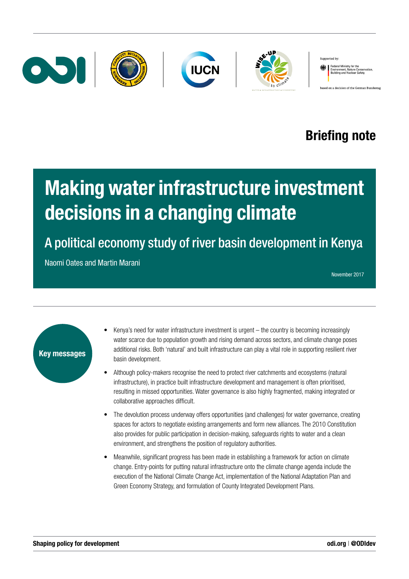

# Briefing note

# Making water infrastructure investment decisions in a changing climate

A political economy study of river basin development in Kenya

Naomi Oates and Martin Marani

November 2017



- Kenya's need for water infrastructure investment is urgent the country is becoming increasingly water scarce due to population growth and rising demand across sectors, and climate change poses additional risks. Both 'natural' and built infrastructure can play a vital role in supporting resilient river basin development.
- Although policy-makers recognise the need to protect river catchments and ecosystems (natural infrastructure), in practice built infrastructure development and management is often prioritised, resulting in missed opportunities. Water governance is also highly fragmented, making integrated or collaborative approaches difficult.
- The devolution process underway offers opportunities (and challenges) for water governance, creating spaces for actors to negotiate existing arrangements and form new alliances. The 2010 Constitution also provides for public participation in decision-making, safeguards rights to water and a clean environment, and strengthens the position of regulatory authorities.
- Meanwhile, significant progress has been made in establishing a framework for action on climate change. Entry-points for putting natural infrastructure onto the climate change agenda include the execution of the National Climate Change Act, implementation of the National Adaptation Plan and Green Economy Strategy, and formulation of County Integrated Development Plans.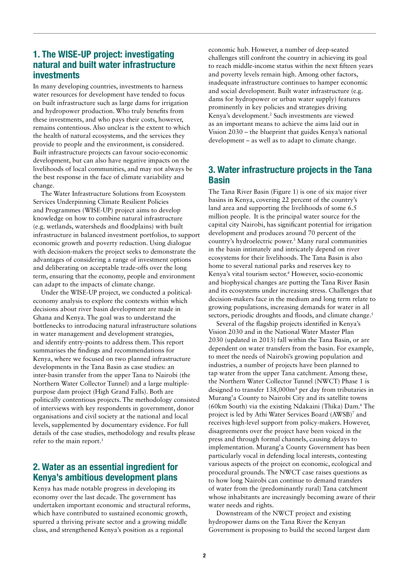# 1. The WISE-UP project: investigating natural and built water infrastructure investments

In many developing countries, investments to harness water resources for development have tended to focus on built infrastructure such as large dams for irrigation and hydropower production. Who truly benefits from these investments, and who pays their costs, however, remains contentious. Also unclear is the extent to which the health of natural ecosystems, and the services they provide to people and the environment, is considered. Built infrastructure projects can favour socio-economic development, but can also have negative impacts on the livelihoods of local communities, and may not always be the best response in the face of climate variability and change.

The Water Infrastructure Solutions from Ecosystem Services Underpinning Climate Resilient Policies and Programmes (WISE-UP) project aims to develop knowledge on how to combine natural infrastructure (e.g. wetlands, watersheds and floodplains) with built infrastructure in balanced investment portfolios, to support economic growth and poverty reduction. Using dialogue with decision-makers the project seeks to demonstrate the advantages of considering a range of investment options and deliberating on acceptable trade-offs over the long term, ensuring that the economy, people and environment can adapt to the impacts of climate change.

Under the WISE-UP project, we conducted a politicaleconomy analysis to explore the contexts within which decisions about river basin development are made in Ghana and Kenya. The goal was to understand the bottlenecks to introducing natural infrastructure solutions in water management and development strategies, and identify entry-points to address them. This report summarises the findings and recommendations for Kenya, where we focused on two planned infrastructure developments in the Tana Basin as case studies: an inter-basin transfer from the upper Tana to Nairobi (the Northern Water Collector Tunnel) and a large multiplepurpose dam project (High Grand Falls). Both are politically contentious projects. The methodology consisted of interviews with key respondents in government, donor organisations and civil society at the national and local levels, supplemented by documentary evidence. For full details of the case studies, methodology and results please refer to the main report.<sup>1</sup>

# 2. Water as an essential ingredient for Kenya's ambitious development plans

Kenya has made notable progress in developing its economy over the last decade. The government has undertaken important economic and structural reforms, which have contributed to sustained economic growth, spurred a thriving private sector and a growing middle class, and strengthened Kenya's position as a regional

economic hub. However, a number of deep-seated challenges still confront the country in achieving its goal to reach middle-income status within the next fifteen years and poverty levels remain high. Among other factors, inadequate infrastructure continues to hamper economic and social development. Built water infrastructure (e.g. dams for hydropower or urban water supply) features prominently in key policies and strategies driving Kenya's development.<sup>2</sup> Such investments are viewed as an important means to achieve the aims laid out in Vision 2030 – the blueprint that guides Kenya's national development – as well as to adapt to climate change.

# 3. Water infrastructure projects in the Tana Basin

The Tana River Basin (Figure 1) is one of six major river basins in Kenya, covering 22 percent of the country's land area and supporting the livelihoods of some 6.5 million people. It is the principal water source for the capital city Nairobi, has significant potential for irrigation development and produces around 70 percent of the country's hydroelectric power.3 Many rural communities in the basin intimately and intricately depend on river ecosystems for their livelihoods. The Tana Basin is also home to several national parks and reserves key to Kenya's vital tourism sector.4 However, socio-economic and biophysical changes are putting the Tana River Basin and its ecosystems under increasing stress. Challenges that decision-makers face in the medium and long term relate to growing populations, increasing demands for water in all sectors, periodic droughts and floods, and climate change.<sup>5</sup>

Several of the flagship projects identified in Kenya's Vision 2030 and in the National Water Master Plan 2030 (updated in 2013) fall within the Tana Basin, or are dependent on water transfers from the basin. For example, to meet the needs of Nairobi's growing population and industries, a number of projects have been planned to tap water from the upper Tana catchment. Among these, the Northern Water Collector Tunnel (NWCT) Phase 1 is designed to transfer 138,000m<sup>3</sup> per day from tributaries in Murang'a County to Nairobi City and its satellite towns (60km South) via the existing Ndakaini (Thika) Dam.6 The project is led by Athi Water Services Board (AWSB)<sup>7</sup> and receives high-level support from policy-makers. However, disagreements over the project have been voiced in the press and through formal channels, causing delays to implementation. Murang'a County Government has been particularly vocal in defending local interests, contesting various aspects of the project on economic, ecological and procedural grounds. The NWCT case raises questions as to how long Nairobi can continue to demand transfers of water from the (predominantly rural) Tana catchment whose inhabitants are increasingly becoming aware of their water needs and rights.

Downstream of the NWCT project and existing hydropower dams on the Tana River the Kenyan Government is proposing to build the second largest dam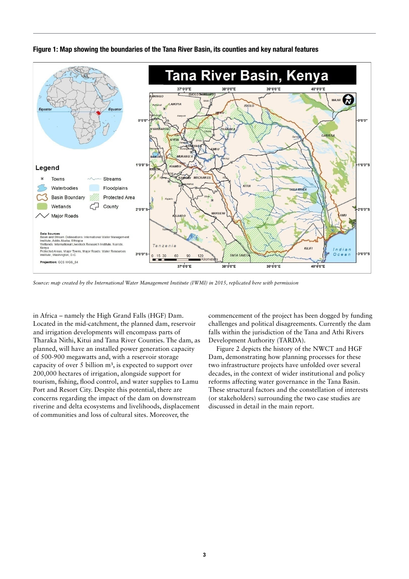



*Source: map created by the International Water Management Institute (IWMI) in 2015, replicated here with permission*

in Africa – namely the High Grand Falls (HGF) Dam. Located in the mid-catchment, the planned dam, reservoir and irrigation developments will encompass parts of Tharaka Nithi, Kitui and Tana River Counties. The dam, as planned, will have an installed power generation capacity of 500-900 megawatts and, with a reservoir storage capacity of over  $5$  billion  $m<sup>3</sup>$ , is expected to support over 200,000 hectares of irrigation, alongside support for tourism, fishing, flood control, and water supplies to Lamu Port and Resort City. Despite this potential, there are concerns regarding the impact of the dam on downstream riverine and delta ecosystems and livelihoods, displacement of communities and loss of cultural sites. Moreover, the

commencement of the project has been dogged by funding challenges and political disagreements. Currently the dam falls within the jurisdiction of the Tana and Athi Rivers Development Authority (TARDA).

Figure 2 depicts the history of the NWCT and HGF Dam, demonstrating how planning processes for these two infrastructure projects have unfolded over several decades, in the context of wider institutional and policy reforms affecting water governance in the Tana Basin. These structural factors and the constellation of interests (or stakeholders) surrounding the two case studies are discussed in detail in the main report.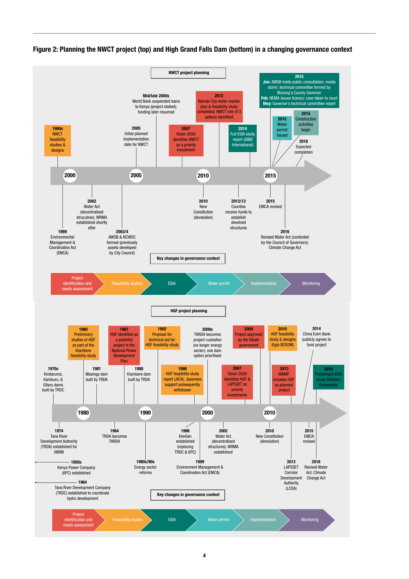

Figure 2: Planning the NWCT project (top) and High Grand Falls Dam (bottom) in a changing governance context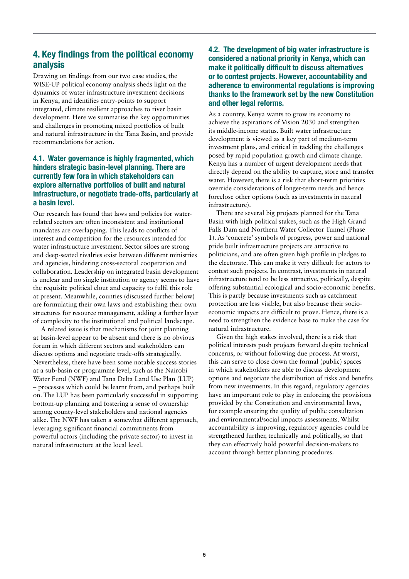# 4. Key findings from the political economy analysis

Drawing on findings from our two case studies, the WISE-UP political economy analysis sheds light on the dynamics of water infrastructure investment decisions in Kenya, and identifies entry-points to support integrated, climate resilient approaches to river basin development. Here we summarise the key opportunities and challenges in promoting mixed portfolios of built and natural infrastructure in the Tana Basin, and provide recommendations for action.

### 4.1. Water governance is highly fragmented, which hinders strategic basin-level planning. There are currently few fora in which stakeholders can explore alternative portfolios of built and natural infrastructure, or negotiate trade-offs, particularly at a basin level.

Our research has found that laws and policies for waterrelated sectors are often inconsistent and institutional mandates are overlapping. This leads to conflicts of interest and competition for the resources intended for water infrastructure investment. Sector siloes are strong and deep-seated rivalries exist between different ministries and agencies, hindering cross-sectoral cooperation and collaboration. Leadership on integrated basin development is unclear and no single institution or agency seems to have the requisite political clout and capacity to fulfil this role at present. Meanwhile, counties (discussed further below) are formulating their own laws and establishing their own structures for resource management, adding a further layer of complexity to the institutional and political landscape.

A related issue is that mechanisms for joint planning at basin-level appear to be absent and there is no obvious forum in which different sectors and stakeholders can discuss options and negotiate trade-offs strategically. Nevertheless, there have been some notable success stories at a sub-basin or programme level, such as the Nairobi Water Fund (NWF) and Tana Delta Land Use Plan (LUP) – processes which could be learnt from, and perhaps built on. The LUP has been particularly successful in supporting bottom-up planning and fostering a sense of ownership among county-level stakeholders and national agencies alike. The NWF has taken a somewhat different approach, leveraging significant financial commitments from powerful actors (including the private sector) to invest in natural infrastructure at the local level.

# 4.2. The development of big water infrastructure is considered a national priority in Kenya, which can make it politically difficult to discuss alternatives or to contest projects. However, accountability and adherence to environmental regulations is improving thanks to the framework set by the new Constitution and other legal reforms.

As a country, Kenya wants to grow its economy to achieve the aspirations of Vision 2030 and strengthen its middle-income status. Built water infrastructure development is viewed as a key part of medium-term investment plans, and critical in tackling the challenges posed by rapid population growth and climate change. Kenya has a number of urgent development needs that directly depend on the ability to capture, store and transfer water. However, there is a risk that short-term priorities override considerations of longer-term needs and hence foreclose other options (such as investments in natural infrastructure).

There are several big projects planned for the Tana Basin with high political stakes, such as the High Grand Falls Dam and Northern Water Collector Tunnel (Phase 1). As 'concrete' symbols of progress, power and national pride built infrastructure projects are attractive to politicians, and are often given high profile in pledges to the electorate. This can make it very difficult for actors to contest such projects. In contrast, investments in natural infrastructure tend to be less attractive, politically, despite offering substantial ecological and socio-economic benefits. This is partly because investments such as catchment protection are less visible, but also because their socioeconomic impacts are difficult to prove. Hence, there is a need to strengthen the evidence base to make the case for natural infrastructure.

Given the high stakes involved, there is a risk that political interests push projects forward despite technical concerns, or without following due process. At worst, this can serve to close down the formal (public) spaces in which stakeholders are able to discuss development options and negotiate the distribution of risks and benefits from new investments. In this regard, regulatory agencies have an important role to play in enforcing the provisions provided by the Constitution and environmental laws, for example ensuring the quality of public consultation and environmental/social impacts assessments. Whilst accountability is improving, regulatory agencies could be strengthened further, technically and politically, so that they can effectively hold powerful decision-makers to account through better planning procedures.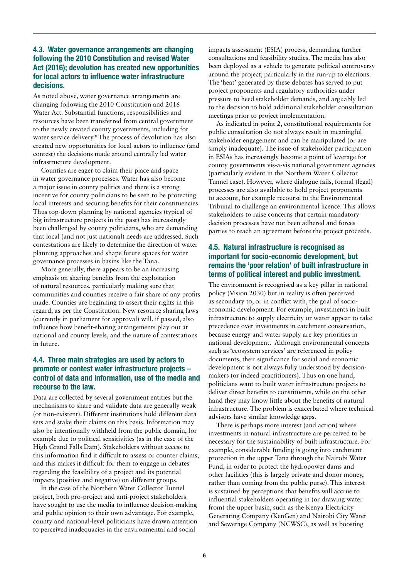### 4.3. Water governance arrangements are changing following the 2010 Constitution and revised Water Act (2016); devolution has created new opportunities for local actors to influence water infrastructure decisions.

As noted above, water governance arrangements are changing following the 2010 Constitution and 2016 Water Act. Substantial functions, responsibilities and resources have been transferred from central government to the newly created county governments, including for water service delivery.8 The process of devolution has also created new opportunities for local actors to influence (and contest) the decisions made around centrally led water infrastructure development.

Counties are eager to claim their place and space in water governance processes. Water has also become a major issue in county politics and there is a strong incentive for county politicians to be seen to be protecting local interests and securing benefits for their constituencies. Thus top-down planning by national agencies (typical of big infrastructure projects in the past) has increasingly been challenged by county politicians, who are demanding that local (and not just national) needs are addressed. Such contestations are likely to determine the direction of water planning approaches and shape future spaces for water governance processes in basins like the Tana.

More generally, there appears to be an increasing emphasis on sharing benefits from the exploitation of natural resources, particularly making sure that communities and counties receive a fair share of any profits made. Counties are beginning to assert their rights in this regard, as per the Constitution. New resource sharing laws (currently in parliament for approval) will, if passed, also influence how benefit-sharing arrangements play out at national and county levels, and the nature of contestations in future.

### 4.4. Three main strategies are used by actors to promote or contest water infrastructure projects – control of data and information, use of the media and recourse to the law.

Data are collected by several government entities but the mechanisms to share and validate data are generally weak (or non-existent). Different institutions hold different data sets and stake their claims on this basis. Information may also be intentionally withheld from the public domain, for example due to political sensitivities (as in the case of the High Grand Falls Dam). Stakeholders without access to this information find it difficult to assess or counter claims, and this makes it difficult for them to engage in debates regarding the feasibility of a project and its potential impacts (positive and negative) on different groups.

In the case of the Northern Water Collector Tunnel project, both pro-project and anti-project stakeholders have sought to use the media to influence decision-making and public opinion to their own advantage. For example, county and national-level politicians have drawn attention to perceived inadequacies in the environmental and social

impacts assessment (ESIA) process, demanding further consultations and feasibility studies. The media has also been deployed as a vehicle to generate political controversy around the project, particularly in the run-up to elections. The 'heat' generated by these debates has served to put project proponents and regulatory authorities under pressure to heed stakeholder demands, and arguably led to the decision to hold additional stakeholder consultation meetings prior to project implementation.

As indicated in point 2, constitutional requirements for public consultation do not always result in meaningful stakeholder engagement and can be manipulated (or are simply inadequate). The issue of stakeholder participation in ESIAs has increasingly become a point of leverage for county governments vis-a-vis national government agencies (particularly evident in the Northern Water Collector Tunnel case). However, where dialogue fails, formal (legal) processes are also available to hold project proponents to account, for example recourse to the Environmental Tribunal to challenge an environmental licence. This allows stakeholders to raise concerns that certain mandatory decision processes have not been adhered and forces parties to reach an agreement before the project proceeds.

### 4.5. Natural infrastructure is recognised as important for socio-economic development, but remains the 'poor relation' of built infrastructure in terms of political interest and public investment.

The environment is recognised as a key pillar in national policy (Vision 2030) but in reality is often perceived as secondary to, or in conflict with, the goal of socioeconomic development. For example, investments in built infrastructure to supply electricity or water appear to take precedence over investments in catchment conservation, because energy and water supply are key priorities in national development. Although environmental concepts such as 'ecosystem services' are referenced in policy documents, their significance for social and economic development is not always fully understood by decisionmakers (or indeed practitioners). Thus on one hand, politicians want to built water infrastructure projects to deliver direct benefits to constituents, while on the other hand they may know little about the benefits of natural infrastructure. The problem is exacerbated where technical advisors have similar knowledge gaps.

There is perhaps more interest (and action) where investments in natural infrastructure are perceived to be necessary for the sustainability of built infrastructure. For example, considerable funding is going into catchment protection in the upper Tana through the Nairobi Water Fund, in order to protect the hydropower dams and other facilities (this is largely private and donor money, rather than coming from the public purse). This interest is sustained by perceptions that benefits will accrue to influential stakeholders operating in (or drawing water from) the upper basin, such as the Kenya Electricity Generating Company (KenGen) and Nairobi City Water and Sewerage Company (NCWSC), as well as boosting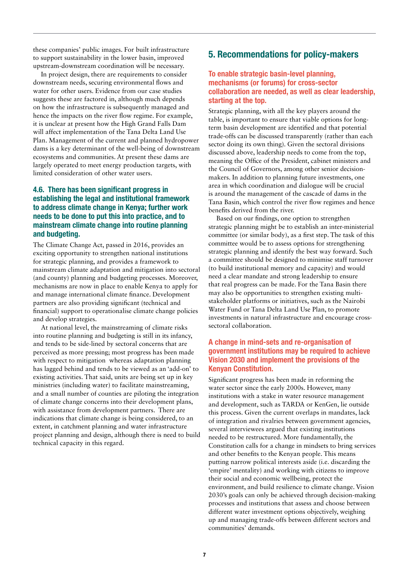these companies' public images. For built infrastructure to support sustainability in the lower basin, improved upstream-downstream coordination will be necessary.

In project design, there are requirements to consider downstream needs, securing environmental flows and water for other users. Evidence from our case studies suggests these are factored in, although much depends on how the infrastructure is subsequently managed and hence the impacts on the river flow regime. For example, it is unclear at present how the High Grand Falls Dam will affect implementation of the Tana Delta Land Use Plan. Management of the current and planned hydropower dams is a key determinant of the well-being of downstream ecosystems and communities. At present these dams are largely operated to meet energy production targets, with limited consideration of other water users.

# 4.6. There has been significant progress in establishing the legal and institutional framework to address climate change in Kenya; further work needs to be done to put this into practice, and to mainstream climate change into routine planning and budgeting.

The Climate Change Act, passed in 2016, provides an exciting opportunity to strengthen national institutions for strategic planning, and provides a framework to mainstream climate adaptation and mitigation into sectoral (and county) planning and budgeting processes. Moreover, mechanisms are now in place to enable Kenya to apply for and manage international climate finance. Development partners are also providing significant (technical and financial) support to operationalise climate change policies and develop strategies.

At national level, the mainstreaming of climate risks into routine planning and budgeting is still in its infancy, and tends to be side-lined by sectoral concerns that are perceived as more pressing; most progress has been made with respect to mitigation whereas adaptation planning has lagged behind and tends to be viewed as an 'add-on' to existing activities. That said, units are being set up in key ministries (including water) to facilitate mainstreaming, and a small number of counties are piloting the integration of climate change concerns into their development plans, with assistance from development partners. There are indications that climate change is being considered, to an extent, in catchment planning and water infrastructure project planning and design, although there is need to build technical capacity in this regard.

# 5. Recommendations for policy-makers

#### To enable strategic basin-level planning, mechanisms (or forums) for cross-sector collaboration are needed, as well as clear leadership, starting at the top.

Strategic planning, with all the key players around the table, is important to ensure that viable options for longterm basin development are identified and that potential trade-offs can be discussed transparently (rather than each sector doing its own thing). Given the sectoral divisions discussed above, leadership needs to come from the top, meaning the Office of the President, cabinet ministers and the Council of Governors, among other senior decisionmakers. In addition to planning future investments, one area in which coordination and dialogue will be crucial is around the management of the cascade of dams in the Tana Basin, which control the river flow regimes and hence benefits derived from the river.

Based on our findings, one option to strengthen strategic planning might be to establish an inter-ministerial committee (or similar body), as a first step. The task of this committee would be to assess options for strengthening strategic planning and identify the best way forward. Such a committee should be designed to minimise staff turnover (to build institutional memory and capacity) and would need a clear mandate and strong leadership to ensure that real progress can be made. For the Tana Basin there may also be opportunities to strengthen existing multistakeholder platforms or initiatives, such as the Nairobi Water Fund or Tana Delta Land Use Plan, to promote investments in natural infrastructure and encourage crosssectoral collaboration.

#### A change in mind-sets and re-organisation of government institutions may be required to achieve Vision 2030 and implement the provisions of the Kenyan Constitution.

Significant progress has been made in reforming the water sector since the early 2000s. However, many institutions with a stake in water resource management and development, such as TARDA or KenGen, lie outside this process. Given the current overlaps in mandates, lack of integration and rivalries between government agencies, several interviewees argued that existing institutions needed to be restructured. More fundamentally, the Constitution calls for a change in mindsets to bring services and other benefits to the Kenyan people. This means putting narrow political interests aside (i.e. discarding the 'empire' mentality) and working with citizens to improve their social and economic wellbeing, protect the environment, and build resilience to climate change. Vision 2030's goals can only be achieved through decision-making processes and institutions that assess and choose between different water investment options objectively, weighing up and managing trade-offs between different sectors and communities' demands.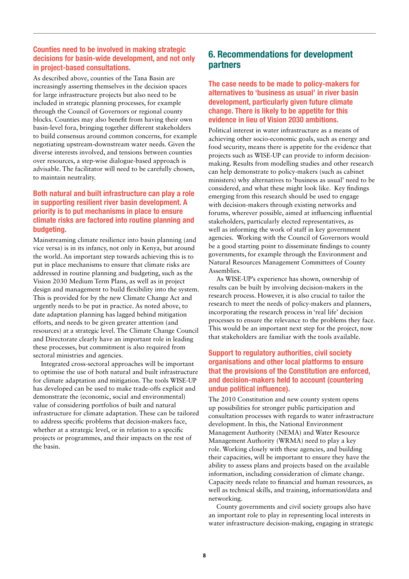### Counties need to be involved in making strategic decisions for basin-wide development, and not only in project-based consultations.

As described above, counties of the Tana Basin are increasingly asserting themselves in the decision spaces for large infrastructure projects but also need to be included in strategic planning processes, for example through the Council of Governors or regional county blocks. Counties may also benefit from having their own basin-level fora, bringing together different stakeholders to build consensus around common concerns, for example negotiating upstream-downstream water needs. Given the diverse interests involved, and tensions between counties over resources, a step-wise dialogue-based approach is advisable. The facilitator will need to be carefully chosen, to maintain neutrality.

# Both natural and built infrastructure can play a role in supporting resilient river basin development. A priority is to put mechanisms in place to ensure climate risks are factored into routine planning and budgeting.

Mainstreaming climate resilience into basin planning (and vice versa) is in its infancy, not only in Kenya, but around the world. An important step towards achieving this is to put in place mechanisms to ensure that climate risks are addressed in routine planning and budgeting, such as the Vision 2030 Medium Term Plans, as well as in project design and management to build flexibility into the system. This is provided for by the new Climate Change Act and urgently needs to be put in practice. As noted above, to date adaptation planning has lagged behind mitigation efforts, and needs to be given greater attention (and resources) at a strategic level. The Climate Change Council and Directorate clearly have an important role in leading these processes, but commitment is also required from sectoral ministries and agencies.

Integrated cross-sectoral approaches will be important to optimise the use of both natural and built infrastructure for climate adaptation and mitigation. The tools WISE-UP has developed can be used to make trade-offs explicit and demonstrate the (economic, social and environmental) value of considering portfolios of built and natural infrastructure for climate adaptation. These can be tailored to address specific problems that decision-makers face, whether at a strategic level, or in relation to a specific projects or programmes, and their impacts on the rest of the basin.

# 6. Recommendations for development partners

The case needs to be made to policy-makers for alternatives to 'business as usual' in river basin development, particularly given future climate change. There is likely to be appetite for this evidence in lieu of Vision 2030 ambitions.

Political interest in water infrastructure as a means of achieving other socio-economic goals, such as energy and food security, means there is appetite for the evidence that projects such as WISE-UP can provide to inform decisionmaking. Results from modelling studies and other research can help demonstrate to policy-makers (such as cabinet ministers) why alternatives to 'business as usual' need to be considered, and what these might look like. Key findings emerging from this research should be used to engage with decision-makers through existing networks and forums, wherever possible, aimed at influencing influential stakeholders, particularly elected representatives, as well as informing the work of staff in key government agencies. Working with the Council of Governors would be a good starting point to disseminate findings to county governments, for example through the Environment and Natural Resources Management Committees of County Assemblies.

As WISE-UP's experience has shown, ownership of results can be built by involving decision-makers in the research process. However, it is also crucial to tailor the research to meet the needs of policy-makers and planners, incorporating the research process in 'real life' decision processes to ensure the relevance to the problems they face. This would be an important next step for the project, now that stakeholders are familiar with the tools available.

# Support to regulatory authorities, civil society organisations and other local platforms to ensure that the provisions of the Constitution are enforced, and decision-makers held to account (countering undue political influence).

The 2010 Constitution and new county system opens up possibilities for stronger public participation and consultation processes with regards to water infrastructure development. In this, the National Environment Management Authority (NEMA) and Water Resource Management Authority (WRMA) need to play a key role. Working closely with these agencies, and building their capacities, will be important to ensure they have the ability to assess plans and projects based on the available information, including consideration of climate change. Capacity needs relate to financial and human resources, as well as technical skills, and training, information/data and networking.

County governments and civil society groups also have an important role to play in representing local interests in water infrastructure decision-making, engaging in strategic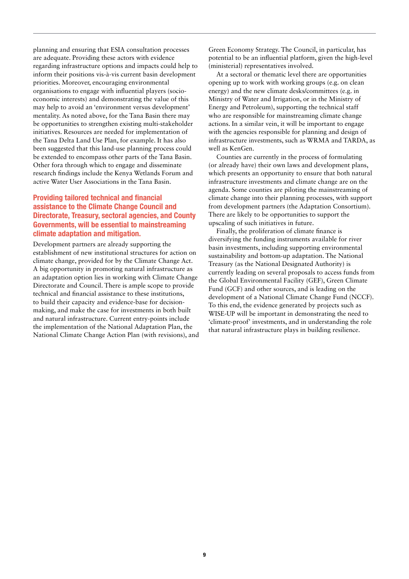planning and ensuring that ESIA consultation processes are adequate. Providing these actors with evidence regarding infrastructure options and impacts could help to inform their positions vis-à-vis current basin development priorities. Moreover, encouraging environmental organisations to engage with influential players (socioeconomic interests) and demonstrating the value of this may help to avoid an 'environment versus development' mentality. As noted above, for the Tana Basin there may be opportunities to strengthen existing multi-stakeholder initiatives. Resources are needed for implementation of the Tana Delta Land Use Plan, for example. It has also been suggested that this land-use planning process could be extended to encompass other parts of the Tana Basin. Other fora through which to engage and disseminate research findings include the Kenya Wetlands Forum and active Water User Associations in the Tana Basin.

### Providing tailored technical and financial assistance to the Climate Change Council and Directorate, Treasury, sectoral agencies, and County Governments, will be essential to mainstreaming climate adaptation and mitigation.

Development partners are already supporting the establishment of new institutional structures for action on climate change, provided for by the Climate Change Act. A big opportunity in promoting natural infrastructure as an adaptation option lies in working with Climate Change Directorate and Council. There is ample scope to provide technical and financial assistance to these institutions, to build their capacity and evidence-base for decisionmaking, and make the case for investments in both built and natural infrastructure. Current entry-points include the implementation of the National Adaptation Plan, the National Climate Change Action Plan (with revisions), and Green Economy Strategy. The Council, in particular, has potential to be an influential platform, given the high-level (ministerial) representatives involved.

At a sectoral or thematic level there are opportunities opening up to work with working groups (e.g. on clean energy) and the new climate desks/committees (e.g. in Ministry of Water and Irrigation, or in the Ministry of Energy and Petroleum), supporting the technical staff who are responsible for mainstreaming climate change actions. In a similar vein, it will be important to engage with the agencies responsible for planning and design of infrastructure investments, such as WRMA and TARDA, as well as KenGen.

Counties are currently in the process of formulating (or already have) their own laws and development plans, which presents an opportunity to ensure that both natural infrastructure investments and climate change are on the agenda. Some counties are piloting the mainstreaming of climate change into their planning processes, with support from development partners (the Adaptation Consortium). There are likely to be opportunities to support the upscaling of such initiatives in future.

Finally, the proliferation of climate finance is diversifying the funding instruments available for river basin investments, including supporting environmental sustainability and bottom-up adaptation. The National Treasury (as the National Designated Authority) is currently leading on several proposals to access funds from the Global Environmental Facility (GEF), Green Climate Fund (GCF) and other sources, and is leading on the development of a National Climate Change Fund (NCCF). To this end, the evidence generated by projects such as WISE-UP will be important in demonstrating the need to 'climate-proof' investments, and in understanding the role that natural infrastructure plays in building resilience.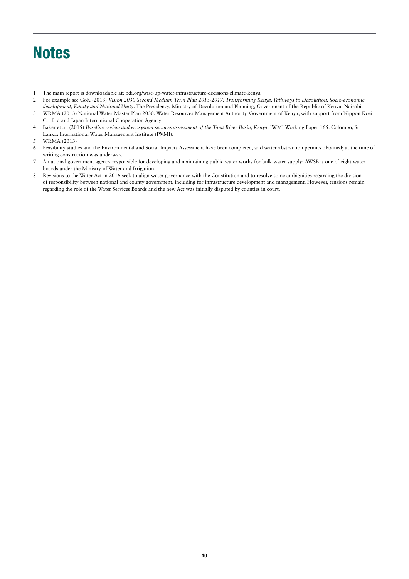# **Notes**

- 1 The main report is downloadable at: odi.org/wise-up-water-infrastructure-decisions-climate-kenya
- 2 For example see GoK (2013) *Vision 2030 Second Medium Term Plan 2013-2017: Transforming Kenya, Pathways to Devolution, Socio-economic development, Equity and National Unity*. The Presidency, Ministry of Devolution and Planning, Government of the Republic of Kenya, Nairobi.
- 3 WRMA (2013) National Water Master Plan 2030. Water Resources Management Authority, Government of Kenya, with support from Nippon Koei Co. Ltd and Japan International Cooperation Agency
- 4 Baker et al. (2015) *Baseline review and ecosystem services assessment of the Tana River Basin, Kenya*. IWMI Working Paper 165. Colombo, Sri Lanka: International Water Management Institute (IWMI).
- 5 WRMA (2013)
- 6 Feasibility studies and the Environmental and Social Impacts Assessment have been completed, and water abstraction permits obtained; at the time of writing construction was underway.
- 7 A national government agency responsible for developing and maintaining public water works for bulk water supply; AWSB is one of eight water boards under the Ministry of Water and Irrigation.
- 8 Revisions to the Water Act in 2016 seek to align water governance with the Constitution and to resolve some ambiguities regarding the division of responsibility between national and county government, including for infrastructure development and management. However, tensions remain regarding the role of the Water Services Boards and the new Act was initially disputed by counties in court.